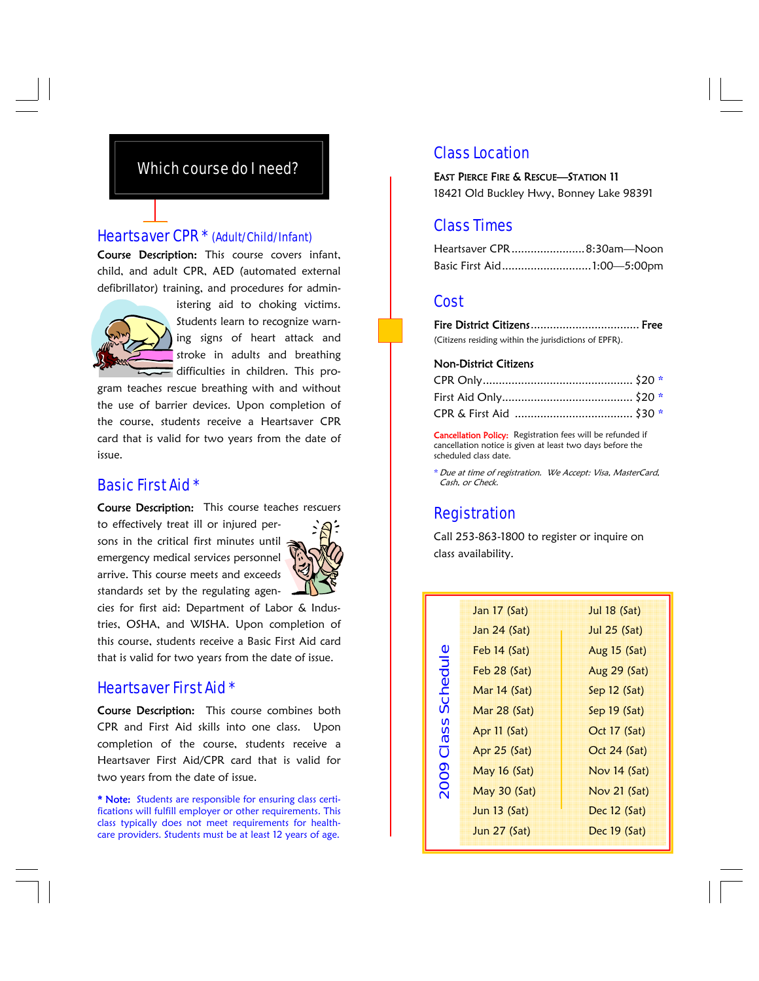# Which course do I need?

## Heartsaver CPR \* (Adult/Child/Infant)

Course Description: This course covers infant, child, and adult CPR, AED (automated external defibrillator) training, and procedures for admin-



istering aid to choking victims. Students learn to recognize warning signs of heart attack and stroke in adults and breathing difficulties in children. This pro-

gram teaches rescue breathing with and without the use of barrier devices. Upon completion of the course, students receive a Heartsaver CPR card that is valid for two years from the date of issue.

## Basic First Aid \*

Course Description: This course teaches rescuers

to effectively treat ill or injured persons in the critical first minutes until emergency medical services personnel arrive. This course meets and exceeds standards set by the regulating agen-



cies for first aid: Department of Labor & Industries, OSHA, and WISHA. Upon completion of this course, students receive a Basic First Aid card that is valid for two years from the date of issue.

# Heartsaver First Aid \*

Course Description: This course combines both CPR and First Aid skills into one class. Upon completion of the course, students receive a Heartsaver First Aid/CPR card that is valid for two years from the date of issue.

\* Note: Students are responsible for ensuring class certifications will fulfill employer or other requirements. This class typically does not meet requirements for healthcare providers. Students must be at least 12 years of age.

# Class Location

EAST PIERCE FIRE & RESCUE—STATION 11 18421 Old Buckley Hwy, Bonney Lake 98391

# Class Times

| Heartsaver CPR8:30am—Noon_ |  |
|----------------------------|--|
| Basic First Aid1:00—5:00pm |  |

## Cost

Fire District Citizens.................................. Free (Citizens residing within the jurisdictions of EPFR).

#### Non-District Citizens

Cancellation Policy: Registration fees will be refunded if cancellation notice is given at least two days before the scheduled class date.

\* Due at time of registration. We Accept: Visa, MasterCard, Cash, or Check.

## **Registration**

Call 253-863-1800 to register or inquire on class availability.

| Aug 15 (Sat)   |
|----------------|
| Aug 29 (Sat)   |
| Sep $12$ (Sat) |
| Sep $19$ (Sat) |
| Oct 17 (Sat)   |
| Oct 24 (Sat)   |
| Nov $14$ (Sat) |
| Nov $21$ (Sat) |
| Dec $12$ (Sat) |
| Dec $19(Sat)$  |
| Jul 25 (Sat)   |